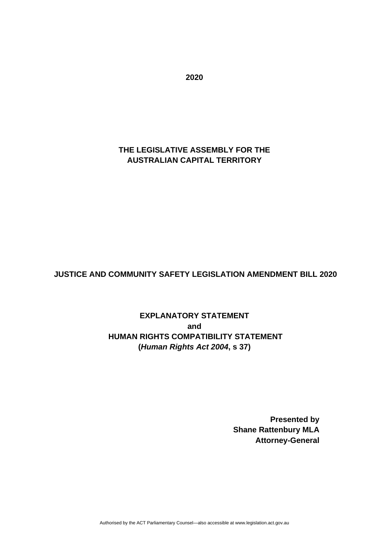## **THE LEGISLATIVE ASSEMBLY FOR THE AUSTRALIAN CAPITAL TERRITORY**

### **JUSTICE AND COMMUNITY SAFETY LEGISLATION AMENDMENT BILL 2020**

**EXPLANATORY STATEMENT and HUMAN RIGHTS COMPATIBILITY STATEMENT (***Human Rights Act 2004***, s 37)**

> **Presented by Shane Rattenbury MLA Attorney-General**

**2020**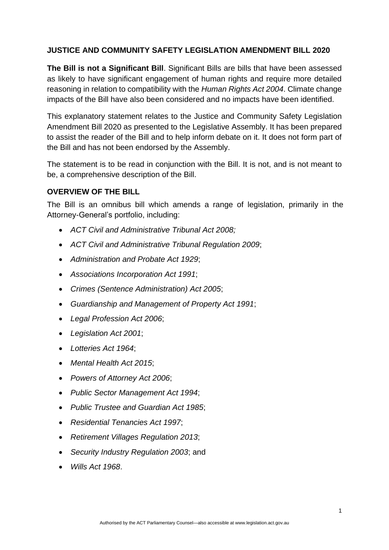#### **JUSTICE AND COMMUNITY SAFETY LEGISLATION AMENDMENT BILL 2020**

**The Bill is not a Significant Bill**. Significant Bills are bills that have been assessed as likely to have significant engagement of human rights and require more detailed reasoning in relation to compatibility with the *Human Rights Act 2004*. Climate change impacts of the Bill have also been considered and no impacts have been identified.

This explanatory statement relates to the Justice and Community Safety Legislation Amendment Bill 2020 as presented to the Legislative Assembly. It has been prepared to assist the reader of the Bill and to help inform debate on it. It does not form part of the Bill and has not been endorsed by the Assembly.

The statement is to be read in conjunction with the Bill. It is not, and is not meant to be, a comprehensive description of the Bill.

#### **OVERVIEW OF THE BILL**

The Bill is an omnibus bill which amends a range of legislation, primarily in the Attorney-General's portfolio, including:

- *ACT Civil and Administrative Tribunal Act 2008;*
- *ACT Civil and Administrative Tribunal Regulation 2009*;
- *Administration and Probate Act 1929*;
- *Associations Incorporation Act 1991*;
- *Crimes (Sentence Administration) Act 2005*;
- *Guardianship and Management of Property Act 1991*;
- *Legal Profession Act 2006*;
- *Legislation Act 2001*;
- *Lotteries Act 1964*;
- *Mental Health Act 2015*;
- *Powers of Attorney Act 2006*;
- *Public Sector Management Act 1994*;
- *Public Trustee and Guardian Act 1985*;
- *Residential Tenancies Act 1997*;
- *Retirement Villages Regulation 2013*;
- *Security Industry Regulation 2003*; and
- *Wills Act 1968*.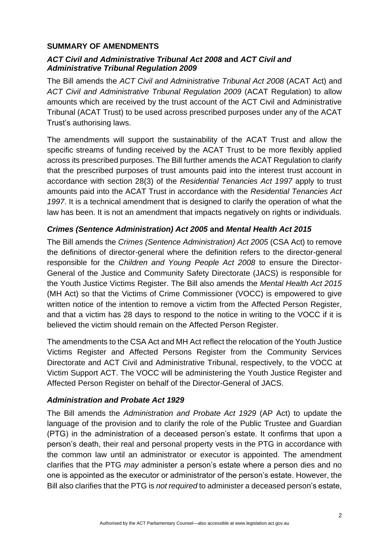#### **SUMMARY OF AMENDMENTS**

#### *ACT Civil and Administrative Tribunal Act 2008* **and** *ACT Civil and Administrative Tribunal Regulation 2009*

The Bill amends the *ACT Civil and Administrative Tribunal Act 2008* (ACAT Act) and *ACT Civil and Administrative Tribunal Regulation 2009* (ACAT Regulation) to allow amounts which are received by the trust account of the ACT Civil and Administrative Tribunal (ACAT Trust) to be used across prescribed purposes under any of the ACAT Trust's authorising laws.

The amendments will support the sustainability of the ACAT Trust and allow the specific streams of funding received by the ACAT Trust to be more flexibly applied across its prescribed purposes. The Bill further amends the ACAT Regulation to clarify that the prescribed purposes of trust amounts paid into the interest trust account in accordance with section 28(3) of the *Residential Tenancies Act 1997* apply to trust amounts paid into the ACAT Trust in accordance with the *Residential Tenancies Act 1997*. It is a technical amendment that is designed to clarify the operation of what the law has been. It is not an amendment that impacts negatively on rights or individuals.

### *Crimes (Sentence Administration) Act 2005* **and** *Mental Health Act 2015*

The Bill amends the *Crimes (Sentence Administration) Act 2005* (CSA Act) to remove the definitions of director-general where the definition refers to the director-general responsible for the *Children and Young People Act 2008* to ensure the Director-General of the Justice and Community Safety Directorate (JACS) is responsible for the Youth Justice Victims Register. The Bill also amends the *Mental Health Act 2015* (MH Act) so that the Victims of Crime Commissioner (VOCC) is empowered to give written notice of the intention to remove a victim from the Affected Person Register. and that a victim has 28 days to respond to the notice in writing to the VOCC if it is believed the victim should remain on the Affected Person Register.

The amendments to the CSA Act and MH Act reflect the relocation of the Youth Justice Victims Register and Affected Persons Register from the Community Services Directorate and ACT Civil and Administrative Tribunal, respectively, to the VOCC at Victim Support ACT. The VOCC will be administering the Youth Justice Register and Affected Person Register on behalf of the Director-General of JACS.

### *Administration and Probate Act 1929*

The Bill amends the *Administration and Probate Act 1929* (AP Act) to update the language of the provision and to clarify the role of the Public Trustee and Guardian (PTG) in the administration of a deceased person's estate. It confirms that upon a person's death, their real and personal property vests in the PTG in accordance with the common law until an administrator or executor is appointed. The amendment clarifies that the PTG *may* administer a person's estate where a person dies and no one is appointed as the executor or administrator of the person's estate. However, the Bill also clarifies that the PTG is *not required* to administer a deceased person's estate,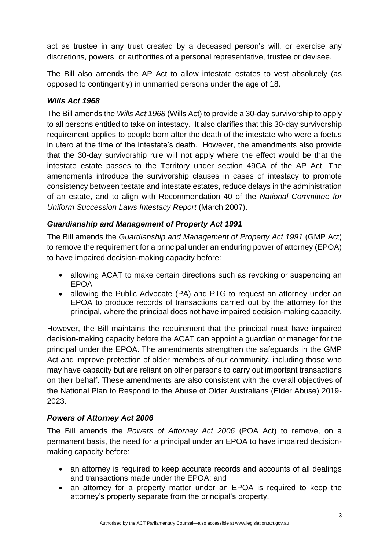act as trustee in any trust created by a deceased person's will, or exercise any discretions, powers, or authorities of a personal representative, trustee or devisee.

The Bill also amends the AP Act to allow intestate estates to vest absolutely (as opposed to contingently) in unmarried persons under the age of 18.

### *Wills Act 1968*

The Bill amends the *Wills Act 1968* (Wills Act) to provide a 30-day survivorship to apply to all persons entitled to take on intestacy. It also clarifies that this 30-day survivorship requirement applies to people born after the death of the intestate who were a foetus in utero at the time of the intestate's death. However, the amendments also provide that the 30-day survivorship rule will not apply where the effect would be that the intestate estate passes to the Territory under section 49CA of the AP Act. The amendments introduce the survivorship clauses in cases of intestacy to promote consistency between testate and intestate estates, reduce delays in the administration of an estate, and to align with Recommendation 40 of the *National Committee for Uniform Succession Laws Intestacy Report* (March 2007).

### *Guardianship and Management of Property Act 1991*

The Bill amends the *Guardianship and Management of Property Act 1991* (GMP Act) to remove the requirement for a principal under an enduring power of attorney (EPOA) to have impaired decision-making capacity before:

- allowing ACAT to make certain directions such as revoking or suspending an EPOA
- allowing the Public Advocate (PA) and PTG to request an attorney under an EPOA to produce records of transactions carried out by the attorney for the principal, where the principal does not have impaired decision-making capacity.

However, the Bill maintains the requirement that the principal must have impaired decision-making capacity before the ACAT can appoint a guardian or manager for the principal under the EPOA. The amendments strengthen the safeguards in the GMP Act and improve protection of older members of our community, including those who may have capacity but are reliant on other persons to carry out important transactions on their behalf. These amendments are also consistent with the overall objectives of the National Plan to Respond to the Abuse of Older Australians (Elder Abuse) 2019- 2023.

### *Powers of Attorney Act 2006*

The Bill amends the *Powers of Attorney Act 2006* (POA Act) to remove, on a permanent basis, the need for a principal under an EPOA to have impaired decisionmaking capacity before:

- an attorney is required to keep accurate records and accounts of all dealings and transactions made under the EPOA; and
- an attorney for a property matter under an EPOA is required to keep the attorney's property separate from the principal's property.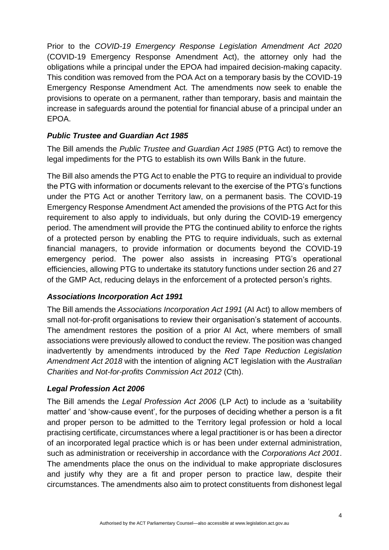Prior to the *COVID-19 Emergency Response Legislation Amendment Act 2020* (COVID-19 Emergency Response Amendment Act), the attorney only had the obligations while a principal under the EPOA had impaired decision-making capacity. This condition was removed from the POA Act on a temporary basis by the COVID-19 Emergency Response Amendment Act. The amendments now seek to enable the provisions to operate on a permanent, rather than temporary, basis and maintain the increase in safeguards around the potential for financial abuse of a principal under an EPOA.

### *Public Trustee and Guardian Act 1985*

The Bill amends the *Public Trustee and Guardian Act 1985* (PTG Act) to remove the legal impediments for the PTG to establish its own Wills Bank in the future.

The Bill also amends the PTG Act to enable the PTG to require an individual to provide the PTG with information or documents relevant to the exercise of the PTG's functions under the PTG Act or another Territory law, on a permanent basis. The COVID-19 Emergency Response Amendment Act amended the provisions of the PTG Act for this requirement to also apply to individuals, but only during the COVID-19 emergency period. The amendment will provide the PTG the continued ability to enforce the rights of a protected person by enabling the PTG to require individuals, such as external financial managers, to provide information or documents beyond the COVID-19 emergency period. The power also assists in increasing PTG's operational efficiencies, allowing PTG to undertake its statutory functions under section 26 and 27 of the GMP Act, reducing delays in the enforcement of a protected person's rights.

### *Associations Incorporation Act 1991*

The Bill amends the *Associations Incorporation Act 1991* (AI Act) to allow members of small not-for-profit organisations to review their organisation's statement of accounts. The amendment restores the position of a prior AI Act, where members of small associations were previously allowed to conduct the review. The position was changed inadvertently by amendments introduced by the *Red Tape Reduction Legislation Amendment Act 2018* with the intention of aligning ACT legislation with the *Australian Charities and Not-for-profits Commission Act 2012* (Cth).

### *Legal Profession Act 2006*

The Bill amends the *Legal Profession Act 2006* (LP Act) to include as a 'suitability matter' and 'show-cause event', for the purposes of deciding whether a person is a fit and proper person to be admitted to the Territory legal profession or hold a local practising certificate, circumstances where a legal practitioner is or has been a director of an incorporated legal practice which is or has been under external administration, such as administration or receivership in accordance with the *Corporations Act 2001*. The amendments place the onus on the individual to make appropriate disclosures and justify why they are a fit and proper person to practice law, despite their circumstances. The amendments also aim to protect constituents from dishonest legal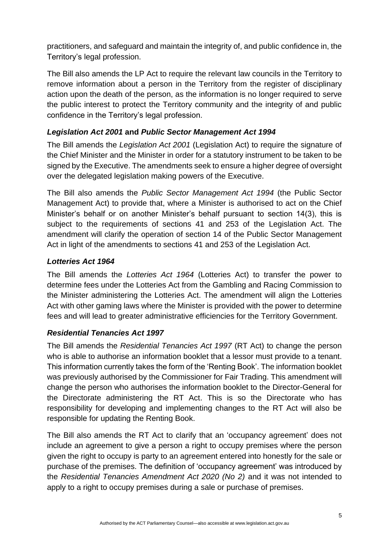practitioners, and safeguard and maintain the integrity of, and public confidence in, the Territory's legal profession.

The Bill also amends the LP Act to require the relevant law councils in the Territory to remove information about a person in the Territory from the register of disciplinary action upon the death of the person, as the information is no longer required to serve the public interest to protect the Territory community and the integrity of and public confidence in the Territory's legal profession.

### *Legislation Act 2001* **and** *Public Sector Management Act 1994*

The Bill amends the *Legislation Act 2001* (Legislation Act) to require the signature of the Chief Minister and the Minister in order for a statutory instrument to be taken to be signed by the Executive. The amendments seek to ensure a higher degree of oversight over the delegated legislation making powers of the Executive.

The Bill also amends the *Public Sector Management Act 1994* (the Public Sector Management Act) to provide that, where a Minister is authorised to act on the Chief Minister's behalf or on another Minister's behalf pursuant to section 14(3), this is subject to the requirements of sections 41 and 253 of the Legislation Act. The amendment will clarify the operation of section 14 of the Public Sector Management Act in light of the amendments to sections 41 and 253 of the Legislation Act.

### *Lotteries Act 1964*

The Bill amends the *Lotteries Act 1964* (Lotteries Act) to transfer the power to determine fees under the Lotteries Act from the Gambling and Racing Commission to the Minister administering the Lotteries Act. The amendment will align the Lotteries Act with other gaming laws where the Minister is provided with the power to determine fees and will lead to greater administrative efficiencies for the Territory Government.

### *Residential Tenancies Act 1997*

The Bill amends the *Residential Tenancies Act 1997* (RT Act) to change the person who is able to authorise an information booklet that a lessor must provide to a tenant. This information currently takes the form of the 'Renting Book'. The information booklet was previously authorised by the Commissioner for Fair Trading. This amendment will change the person who authorises the information booklet to the Director-General for the Directorate administering the RT Act. This is so the Directorate who has responsibility for developing and implementing changes to the RT Act will also be responsible for updating the Renting Book.

The Bill also amends the RT Act to clarify that an 'occupancy agreement' does not include an agreement to give a person a right to occupy premises where the person given the right to occupy is party to an agreement entered into honestly for the sale or purchase of the premises. The definition of 'occupancy agreement' was introduced by the *Residential Tenancies Amendment Act 2020 (No 2)* and it was not intended to apply to a right to occupy premises during a sale or purchase of premises.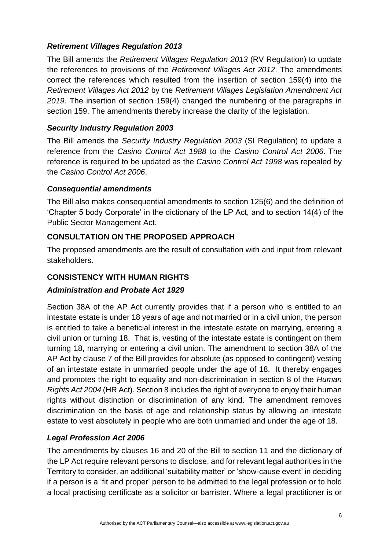### *Retirement Villages Regulation 2013*

The Bill amends the *Retirement Villages Regulation 2013* (RV Regulation) to update the references to provisions of the *Retirement Villages Act 2012*. The amendments correct the references which resulted from the insertion of section 159(4) into the *Retirement Villages Act 2012* by the *Retirement Villages Legislation Amendment Act 2019*. The insertion of section 159(4) changed the numbering of the paragraphs in section 159. The amendments thereby increase the clarity of the legislation.

### *Security Industry Regulation 2003*

The Bill amends the *Security Industry Regulation 2003* (SI Regulation) to update a reference from the *Casino Control Act 1988* to the *Casino Control Act 2006*. The reference is required to be updated as the *Casino Control Act 1998* was repealed by the *Casino Control Act 2006*.

### *Consequential amendments*

The Bill also makes consequential amendments to section 125(6) and the definition of 'Chapter 5 body Corporate' in the dictionary of the LP Act, and to section 14(4) of the Public Sector Management Act.

### **CONSULTATION ON THE PROPOSED APPROACH**

The proposed amendments are the result of consultation with and input from relevant stakeholders.

### **CONSISTENCY WITH HUMAN RIGHTS**

### *Administration and Probate Act 1929*

Section 38A of the AP Act currently provides that if a person who is entitled to an intestate estate is under 18 years of age and not married or in a civil union, the person is entitled to take a beneficial interest in the intestate estate on marrying, entering a civil union or turning 18. That is, vesting of the intestate estate is contingent on them turning 18, marrying or entering a civil union. The amendment to section 38A of the AP Act by clause 7 of the Bill provides for absolute (as opposed to contingent) vesting of an intestate estate in unmarried people under the age of 18. It thereby engages and promotes the right to equality and non-discrimination in section 8 of the *Human Rights Act 2004* (HR Act). Section 8 includes the right of everyone to enjoy their human rights without distinction or discrimination of any kind. The amendment removes discrimination on the basis of age and relationship status by allowing an intestate estate to vest absolutely in people who are both unmarried and under the age of 18.

### *Legal Profession Act 2006*

The amendments by clauses 16 and 20 of the Bill to section 11 and the dictionary of the LP Act require relevant persons to disclose, and for relevant legal authorities in the Territory to consider, an additional 'suitability matter' or 'show-cause event' in deciding if a person is a 'fit and proper' person to be admitted to the legal profession or to hold a local practising certificate as a solicitor or barrister. Where a legal practitioner is or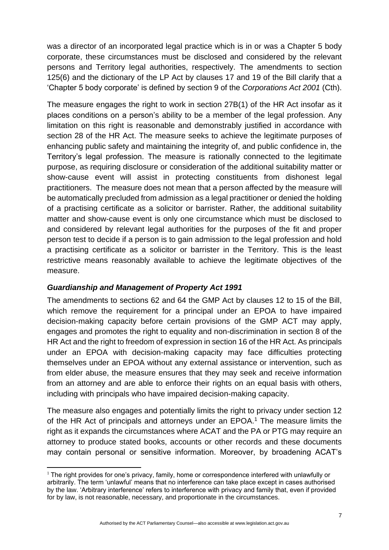was a director of an incorporated legal practice which is in or was a Chapter 5 body corporate, these circumstances must be disclosed and considered by the relevant persons and Territory legal authorities, respectively. The amendments to section 125(6) and the dictionary of the LP Act by clauses 17 and 19 of the Bill clarify that a 'Chapter 5 body corporate' is defined by section 9 of the *Corporations Act 2001* (Cth).

The measure engages the right to work in section 27B(1) of the HR Act insofar as it places conditions on a person's ability to be a member of the legal profession. Any limitation on this right is reasonable and demonstrably justified in accordance with section 28 of the HR Act. The measure seeks to achieve the legitimate purposes of enhancing public safety and maintaining the integrity of, and public confidence in, the Territory's legal profession. The measure is rationally connected to the legitimate purpose, as requiring disclosure or consideration of the additional suitability matter or show-cause event will assist in protecting constituents from dishonest legal practitioners. The measure does not mean that a person affected by the measure will be automatically precluded from admission as a legal practitioner or denied the holding of a practising certificate as a solicitor or barrister. Rather, the additional suitability matter and show-cause event is only one circumstance which must be disclosed to and considered by relevant legal authorities for the purposes of the fit and proper person test to decide if a person is to gain admission to the legal profession and hold a practising certificate as a solicitor or barrister in the Territory. This is the least restrictive means reasonably available to achieve the legitimate objectives of the measure.

### *Guardianship and Management of Property Act 1991*

The amendments to sections 62 and 64 the GMP Act by clauses 12 to 15 of the Bill, which remove the requirement for a principal under an EPOA to have impaired decision-making capacity before certain provisions of the GMP ACT may apply, engages and promotes the right to equality and non-discrimination in section 8 of the HR Act and the right to freedom of expression in section 16 of the HR Act. As principals under an EPOA with decision-making capacity may face difficulties protecting themselves under an EPOA without any external assistance or intervention, such as from elder abuse, the measure ensures that they may seek and receive information from an attorney and are able to enforce their rights on an equal basis with others, including with principals who have impaired decision-making capacity.

The measure also engages and potentially limits the right to privacy under section 12 of the HR Act of principals and attorneys under an EPOA.<sup>1</sup> The measure limits the right as it expands the circumstances where ACAT and the PA or PTG may require an attorney to produce stated books, accounts or other records and these documents may contain personal or sensitive information. Moreover, by broadening ACAT's

Authorised by the ACT Parliamentary Counsel—also accessible at www.legislation.act.gov.au

 $1$  The right provides for one's privacy, family, home or correspondence interfered with unlawfully or arbitrarily. The term 'unlawful' means that no interference can take place except in cases authorised by the law. 'Arbitrary interference' refers to interference with privacy and family that, even if provided for by law, is not reasonable, necessary, and proportionate in the circumstances.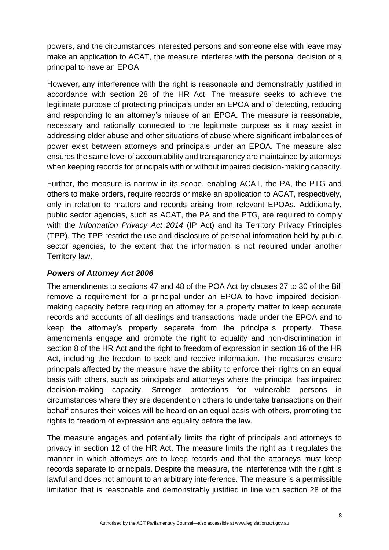powers, and the circumstances interested persons and someone else with leave may make an application to ACAT, the measure interferes with the personal decision of a principal to have an EPOA.

However, any interference with the right is reasonable and demonstrably justified in accordance with section 28 of the HR Act. The measure seeks to achieve the legitimate purpose of protecting principals under an EPOA and of detecting, reducing and responding to an attorney's misuse of an EPOA. The measure is reasonable, necessary and rationally connected to the legitimate purpose as it may assist in addressing elder abuse and other situations of abuse where significant imbalances of power exist between attorneys and principals under an EPOA. The measure also ensures the same level of accountability and transparency are maintained by attorneys when keeping records for principals with or without impaired decision-making capacity.

Further, the measure is narrow in its scope, enabling ACAT, the PA, the PTG and others to make orders, require records or make an application to ACAT, respectively, only in relation to matters and records arising from relevant EPOAs. Additionally, public sector agencies, such as ACAT, the PA and the PTG, are required to comply with the *Information Privacy Act 2014* (IP Act) and its Territory Privacy Principles (TPP). The TPP restrict the use and disclosure of personal information held by public sector agencies, to the extent that the information is not required under another Territory law.

### *Powers of Attorney Act 2006*

The amendments to sections 47 and 48 of the POA Act by clauses 27 to 30 of the Bill remove a requirement for a principal under an EPOA to have impaired decisionmaking capacity before requiring an attorney for a property matter to keep accurate records and accounts of all dealings and transactions made under the EPOA and to keep the attorney's property separate from the principal's property. These amendments engage and promote the right to equality and non-discrimination in section 8 of the HR Act and the right to freedom of expression in section 16 of the HR Act, including the freedom to seek and receive information. The measures ensure principals affected by the measure have the ability to enforce their rights on an equal basis with others, such as principals and attorneys where the principal has impaired decision-making capacity. Stronger protections for vulnerable persons in circumstances where they are dependent on others to undertake transactions on their behalf ensures their voices will be heard on an equal basis with others, promoting the rights to freedom of expression and equality before the law.

The measure engages and potentially limits the right of principals and attorneys to privacy in section 12 of the HR Act. The measure limits the right as it regulates the manner in which attorneys are to keep records and that the attorneys must keep records separate to principals. Despite the measure, the interference with the right is lawful and does not amount to an arbitrary interference. The measure is a permissible limitation that is reasonable and demonstrably justified in line with section 28 of the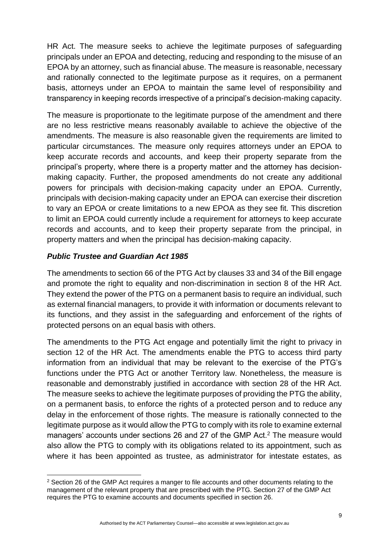HR Act. The measure seeks to achieve the legitimate purposes of safeguarding principals under an EPOA and detecting, reducing and responding to the misuse of an EPOA by an attorney, such as financial abuse. The measure is reasonable, necessary and rationally connected to the legitimate purpose as it requires, on a permanent basis, attorneys under an EPOA to maintain the same level of responsibility and transparency in keeping records irrespective of a principal's decision-making capacity.

The measure is proportionate to the legitimate purpose of the amendment and there are no less restrictive means reasonably available to achieve the objective of the amendments. The measure is also reasonable given the requirements are limited to particular circumstances. The measure only requires attorneys under an EPOA to keep accurate records and accounts, and keep their property separate from the principal's property, where there is a property matter and the attorney has decisionmaking capacity. Further, the proposed amendments do not create any additional powers for principals with decision-making capacity under an EPOA. Currently, principals with decision-making capacity under an EPOA can exercise their discretion to vary an EPOA or create limitations to a new EPOA as they see fit. This discretion to limit an EPOA could currently include a requirement for attorneys to keep accurate records and accounts, and to keep their property separate from the principal, in property matters and when the principal has decision-making capacity.

### *Public Trustee and Guardian Act 1985*

The amendments to section 66 of the PTG Act by clauses 33 and 34 of the Bill engage and promote the right to equality and non-discrimination in section 8 of the HR Act. They extend the power of the PTG on a permanent basis to require an individual, such as external financial managers, to provide it with information or documents relevant to its functions, and they assist in the safeguarding and enforcement of the rights of protected persons on an equal basis with others.

The amendments to the PTG Act engage and potentially limit the right to privacy in section 12 of the HR Act. The amendments enable the PTG to access third party information from an individual that may be relevant to the exercise of the PTG's functions under the PTG Act or another Territory law. Nonetheless, the measure is reasonable and demonstrably justified in accordance with section 28 of the HR Act. The measure seeks to achieve the legitimate purposes of providing the PTG the ability, on a permanent basis, to enforce the rights of a protected person and to reduce any delay in the enforcement of those rights. The measure is rationally connected to the legitimate purpose as it would allow the PTG to comply with its role to examine external managers' accounts under sections 26 and 27 of the GMP Act.<sup>2</sup> The measure would also allow the PTG to comply with its obligations related to its appointment, such as where it has been appointed as trustee, as administrator for intestate estates, as

 $2$  Section 26 of the GMP Act requires a manger to file accounts and other documents relating to the management of the relevant property that are prescribed with the PTG. Section 27 of the GMP Act requires the PTG to examine accounts and documents specified in section 26.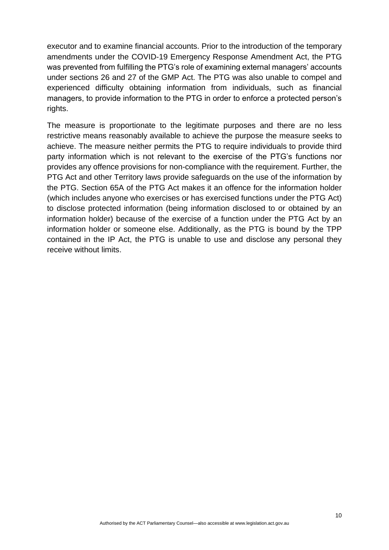executor and to examine financial accounts. Prior to the introduction of the temporary amendments under the COVID-19 Emergency Response Amendment Act, the PTG was prevented from fulfilling the PTG's role of examining external managers' accounts under sections 26 and 27 of the GMP Act. The PTG was also unable to compel and experienced difficulty obtaining information from individuals, such as financial managers, to provide information to the PTG in order to enforce a protected person's rights.

The measure is proportionate to the legitimate purposes and there are no less restrictive means reasonably available to achieve the purpose the measure seeks to achieve. The measure neither permits the PTG to require individuals to provide third party information which is not relevant to the exercise of the PTG's functions nor provides any offence provisions for non-compliance with the requirement. Further, the PTG Act and other Territory laws provide safeguards on the use of the information by the PTG. Section 65A of the PTG Act makes it an offence for the information holder (which includes anyone who exercises or has exercised functions under the PTG Act) to disclose protected information (being information disclosed to or obtained by an information holder) because of the exercise of a function under the PTG Act by an information holder or someone else. Additionally, as the PTG is bound by the TPP contained in the IP Act, the PTG is unable to use and disclose any personal they receive without limits.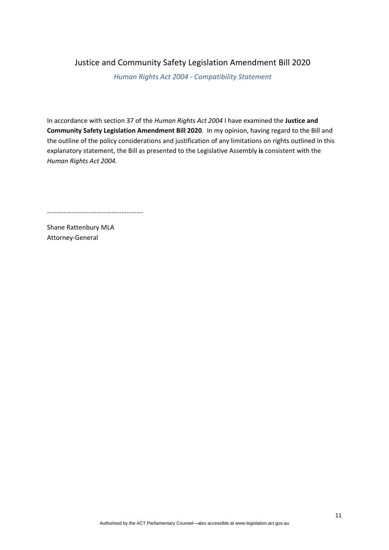### Justice and Community Safety Legislation Amendment Bill 2020

*Human Rights Act 2004 - Compatibility Statement*

In accordance with section 37 of the *Human Rights Act 2004* I have examined the **Justice and Community Safety Legislation Amendment Bill 2020**. In my opinion, having regard to the Bill and the outline of the policy considerations and justification of any limitations on rights outlined in this explanatory statement, the Bill as presented to the Legislative Assembly **is** consistent with the *Human Rights Act 2004.*

………………………………………………….

Shane Rattenbury MLA Attorney-General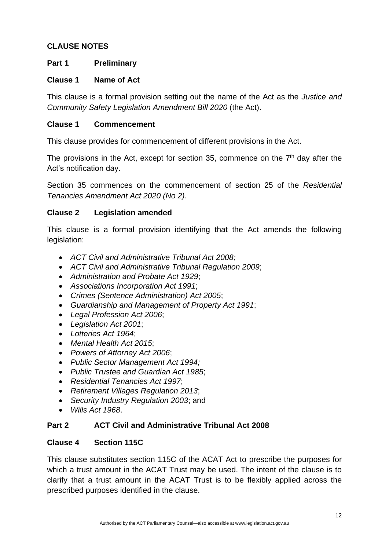### **CLAUSE NOTES**

### **Part 1 Preliminary**

#### **Clause 1 Name of Act**

This clause is a formal provision setting out the name of the Act as the *Justice and Community Safety Legislation Amendment Bill 2020* (the Act).

#### **Clause 1 Commencement**

This clause provides for commencement of different provisions in the Act.

The provisions in the Act, except for section 35, commence on the  $7<sup>th</sup>$  day after the Act's notification day.

Section 35 commences on the commencement of section 25 of the *Residential Tenancies Amendment Act 2020 (No 2)*.

### **Clause 2 Legislation amended**

This clause is a formal provision identifying that the Act amends the following legislation:

- *ACT Civil and Administrative Tribunal Act 2008;*
- *ACT Civil and Administrative Tribunal Regulation 2009*;
- *Administration and Probate Act 1929*;
- *Associations Incorporation Act 1991*;
- *Crimes (Sentence Administration) Act 2005*;
- *Guardianship and Management of Property Act 1991*;
- *Legal Profession Act 2006*;
- *Legislation Act 2001*;
- *Lotteries Act 1964*;
- *Mental Health Act 2015*;
- *Powers of Attorney Act 2006*;
- *Public Sector Management Act 1994;*
- *Public Trustee and Guardian Act 1985*;
- *Residential Tenancies Act 1997*;
- *Retirement Villages Regulation 2013*;
- *Security Industry Regulation 2003*; and
- *Wills Act 1968*.

### **Part 2 ACT Civil and Administrative Tribunal Act 2008**

#### **Clause 4 Section 115C**

This clause substitutes section 115C of the ACAT Act to prescribe the purposes for which a trust amount in the ACAT Trust may be used. The intent of the clause is to clarify that a trust amount in the ACAT Trust is to be flexibly applied across the prescribed purposes identified in the clause.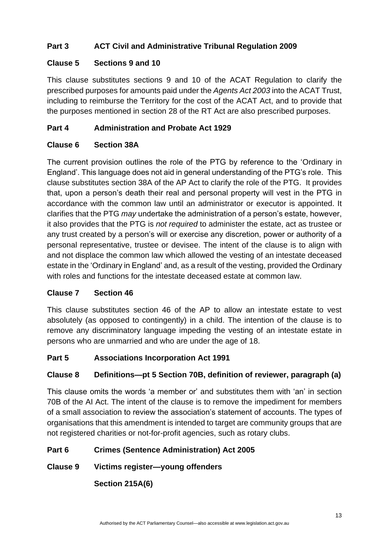### **Part 3 ACT Civil and Administrative Tribunal Regulation 2009**

### **Clause 5 Sections 9 and 10**

This clause substitutes sections 9 and 10 of the ACAT Regulation to clarify the prescribed purposes for amounts paid under the *Agents Act 2003* into the ACAT Trust, including to reimburse the Territory for the cost of the ACAT Act, and to provide that the purposes mentioned in section 28 of the RT Act are also prescribed purposes.

### **Part 4 Administration and Probate Act 1929**

### **Clause 6 Section 38A**

The current provision outlines the role of the PTG by reference to the 'Ordinary in England'. This language does not aid in general understanding of the PTG's role. This clause substitutes section 38A of the AP Act to clarify the role of the PTG. It provides that, upon a person's death their real and personal property will vest in the PTG in accordance with the common law until an administrator or executor is appointed. It clarifies that the PTG *may* undertake the administration of a person's estate, however, it also provides that the PTG is *not required* to administer the estate, act as trustee or any trust created by a person's will or exercise any discretion, power or authority of a personal representative, trustee or devisee. The intent of the clause is to align with and not displace the common law which allowed the vesting of an intestate deceased estate in the 'Ordinary in England' and, as a result of the vesting, provided the Ordinary with roles and functions for the intestate deceased estate at common law.

#### **Clause 7 Section 46**

This clause substitutes section 46 of the AP to allow an intestate estate to vest absolutely (as opposed to contingently) in a child. The intention of the clause is to remove any discriminatory language impeding the vesting of an intestate estate in persons who are unmarried and who are under the age of 18.

### **Part 5 Associations Incorporation Act 1991**

### **Clause 8 Definitions—pt 5 Section 70B, definition of reviewer, paragraph (a)**

This clause omits the words 'a member or' and substitutes them with 'an' in section 70B of the AI Act. The intent of the clause is to remove the impediment for members of a small association to review the association's statement of accounts. The types of organisations that this amendment is intended to target are community groups that are not registered charities or not-for-profit agencies, such as rotary clubs.

### **Part 6 Crimes (Sentence Administration) Act 2005**

### **Clause 9 Victims register—young offenders**

**Section 215A(6)**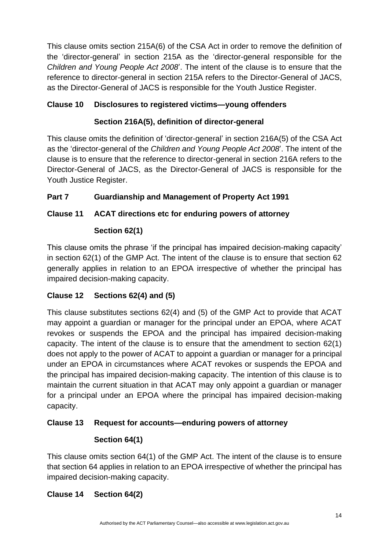This clause omits section 215A(6) of the CSA Act in order to remove the definition of the 'director-general' in section 215A as the 'director-general responsible for the *Children and Young People Act 2008*'. The intent of the clause is to ensure that the reference to director-general in section 215A refers to the Director-General of JACS, as the Director-General of JACS is responsible for the Youth Justice Register.

## **Clause 10 Disclosures to registered victims—young offenders**

## **Section 216A(5), definition of director-general**

This clause omits the definition of 'director-general' in section 216A(5) of the CSA Act as the 'director-general of the *Children and Young People Act 2008*'. The intent of the clause is to ensure that the reference to director-general in section 216A refers to the Director-General of JACS, as the Director-General of JACS is responsible for the Youth Justice Register.

## **Part 7 Guardianship and Management of Property Act 1991**

## **Clause 11 ACAT directions etc for enduring powers of attorney**

### **Section 62(1)**

This clause omits the phrase 'if the principal has impaired decision-making capacity' in section 62(1) of the GMP Act. The intent of the clause is to ensure that section 62 generally applies in relation to an EPOA irrespective of whether the principal has impaired decision-making capacity.

### **Clause 12 Sections 62(4) and (5)**

This clause substitutes sections 62(4) and (5) of the GMP Act to provide that ACAT may appoint a guardian or manager for the principal under an EPOA, where ACAT revokes or suspends the EPOA and the principal has impaired decision-making capacity. The intent of the clause is to ensure that the amendment to section 62(1) does not apply to the power of ACAT to appoint a guardian or manager for a principal under an EPOA in circumstances where ACAT revokes or suspends the EPOA and the principal has impaired decision-making capacity. The intention of this clause is to maintain the current situation in that ACAT may only appoint a guardian or manager for a principal under an EPOA where the principal has impaired decision-making capacity.

### **Clause 13 Request for accounts—enduring powers of attorney**

# **Section 64(1)**

This clause omits section 64(1) of the GMP Act. The intent of the clause is to ensure that section 64 applies in relation to an EPOA irrespective of whether the principal has impaired decision-making capacity.

# **Clause 14 Section 64(2)**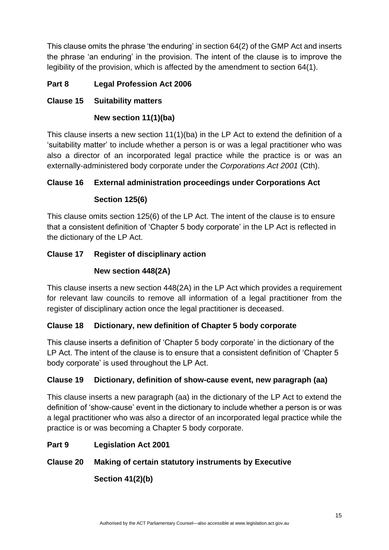This clause omits the phrase 'the enduring' in section 64(2) of the GMP Act and inserts the phrase 'an enduring' in the provision. The intent of the clause is to improve the legibility of the provision, which is affected by the amendment to section 64(1).

### **Part 8 Legal Profession Act 2006**

### **Clause 15 Suitability matters**

### **New section 11(1)(ba)**

This clause inserts a new section 11(1)(ba) in the LP Act to extend the definition of a 'suitability matter' to include whether a person is or was a legal practitioner who was also a director of an incorporated legal practice while the practice is or was an externally-administered body corporate under the *Corporations Act 2001* (Cth).

### **Clause 16 External administration proceedings under Corporations Act**

### **Section 125(6)**

This clause omits section 125(6) of the LP Act. The intent of the clause is to ensure that a consistent definition of 'Chapter 5 body corporate' in the LP Act is reflected in the dictionary of the LP Act.

### **Clause 17 Register of disciplinary action**

### **New section 448(2A)**

This clause inserts a new section 448(2A) in the LP Act which provides a requirement for relevant law councils to remove all information of a legal practitioner from the register of disciplinary action once the legal practitioner is deceased.

### **Clause 18 Dictionary, new definition of Chapter 5 body corporate**

This clause inserts a definition of 'Chapter 5 body corporate' in the dictionary of the LP Act. The intent of the clause is to ensure that a consistent definition of 'Chapter 5 body corporate' is used throughout the LP Act.

### **Clause 19 Dictionary, definition of show-cause event, new paragraph (aa)**

This clause inserts a new paragraph (aa) in the dictionary of the LP Act to extend the definition of 'show-cause' event in the dictionary to include whether a person is or was a legal practitioner who was also a director of an incorporated legal practice while the practice is or was becoming a Chapter 5 body corporate.

### **Part 9 Legislation Act 2001**

### **Clause 20 Making of certain statutory instruments by Executive**

**Section 41(2)(b)**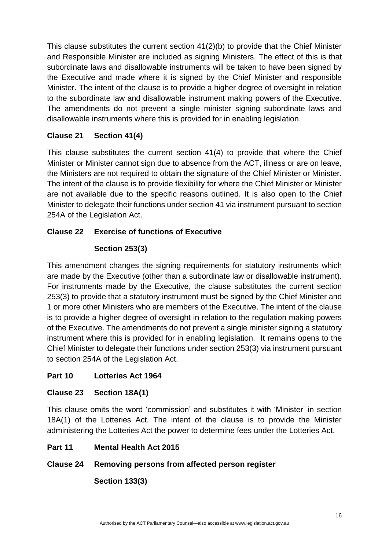This clause substitutes the current section 41(2)(b) to provide that the Chief Minister and Responsible Minister are included as signing Ministers. The effect of this is that subordinate laws and disallowable instruments will be taken to have been signed by the Executive and made where it is signed by the Chief Minister and responsible Minister. The intent of the clause is to provide a higher degree of oversight in relation to the subordinate law and disallowable instrument making powers of the Executive. The amendments do not prevent a single minister signing subordinate laws and disallowable instruments where this is provided for in enabling legislation.

### **Clause 21 Section 41(4)**

This clause substitutes the current section 41(4) to provide that where the Chief Minister or Minister cannot sign due to absence from the ACT, illness or are on leave, the Ministers are not required to obtain the signature of the Chief Minister or Minister. The intent of the clause is to provide flexibility for where the Chief Minister or Minister are not available due to the specific reasons outlined. It is also open to the Chief Minister to delegate their functions under section 41 via instrument pursuant to section 254A of the Legislation Act.

### **Clause 22 Exercise of functions of Executive**

### **Section 253(3)**

This amendment changes the signing requirements for statutory instruments which are made by the Executive (other than a subordinate law or disallowable instrument). For instruments made by the Executive, the clause substitutes the current section 253(3) to provide that a statutory instrument must be signed by the Chief Minister and 1 or more other Ministers who are members of the Executive. The intent of the clause is to provide a higher degree of oversight in relation to the regulation making powers of the Executive. The amendments do not prevent a single minister signing a statutory instrument where this is provided for in enabling legislation. It remains opens to the Chief Minister to delegate their functions under section 253(3) via instrument pursuant to section 254A of the Legislation Act.

### **Part 10 Lotteries Act 1964**

### **Clause 23 Section 18A(1)**

This clause omits the word 'commission' and substitutes it with 'Minister' in section 18A(1) of the Lotteries Act. The intent of the clause is to provide the Minister administering the Lotteries Act the power to determine fees under the Lotteries Act.

### **Part 11 Mental Health Act 2015**

### **Clause 24 Removing persons from affected person register**

**Section 133(3)**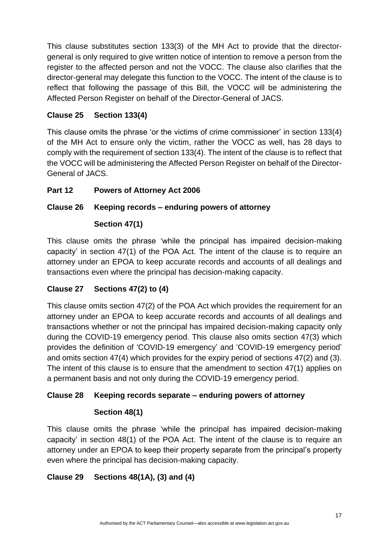This clause substitutes section 133(3) of the MH Act to provide that the directorgeneral is only required to give written notice of intention to remove a person from the register to the affected person and not the VOCC. The clause also clarifies that the director-general may delegate this function to the VOCC. The intent of the clause is to reflect that following the passage of this Bill, the VOCC will be administering the Affected Person Register on behalf of the Director-General of JACS.

## **Clause 25 Section 133(4)**

This clause omits the phrase 'or the victims of crime commissioner' in section 133(4) of the MH Act to ensure only the victim, rather the VOCC as well, has 28 days to comply with the requirement of section 133(4). The intent of the clause is to reflect that the VOCC will be administering the Affected Person Register on behalf of the Director-General of JACS.

## **Part 12 Powers of Attorney Act 2006**

### **Clause 26 Keeping records – enduring powers of attorney**

### **Section 47(1)**

This clause omits the phrase 'while the principal has impaired decision-making capacity' in section 47(1) of the POA Act. The intent of the clause is to require an attorney under an EPOA to keep accurate records and accounts of all dealings and transactions even where the principal has decision-making capacity.

### **Clause 27 Sections 47(2) to (4)**

This clause omits section 47(2) of the POA Act which provides the requirement for an attorney under an EPOA to keep accurate records and accounts of all dealings and transactions whether or not the principal has impaired decision-making capacity only during the COVID-19 emergency period. This clause also omits section 47(3) which provides the definition of 'COVID-19 emergency' and 'COVID-19 emergency period' and omits section 47(4) which provides for the expiry period of sections 47(2) and (3). The intent of this clause is to ensure that the amendment to section 47(1) applies on a permanent basis and not only during the COVID-19 emergency period.

### **Clause 28 Keeping records separate – enduring powers of attorney**

### **Section 48(1)**

This clause omits the phrase 'while the principal has impaired decision-making capacity' in section 48(1) of the POA Act. The intent of the clause is to require an attorney under an EPOA to keep their property separate from the principal's property even where the principal has decision-making capacity.

### **Clause 29 Sections 48(1A), (3) and (4)**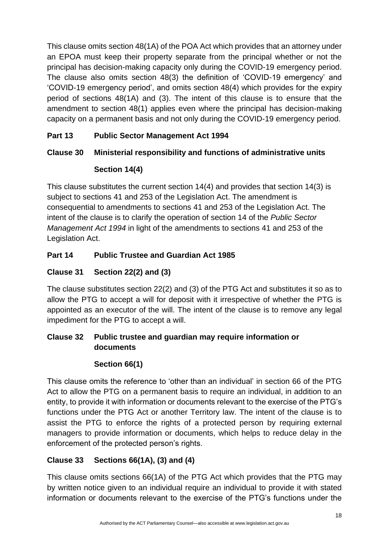This clause omits section 48(1A) of the POA Act which provides that an attorney under an EPOA must keep their property separate from the principal whether or not the principal has decision-making capacity only during the COVID-19 emergency period. The clause also omits section 48(3) the definition of 'COVID-19 emergency' and 'COVID-19 emergency period', and omits section 48(4) which provides for the expiry period of sections 48(1A) and (3). The intent of this clause is to ensure that the amendment to section 48(1) applies even where the principal has decision-making capacity on a permanent basis and not only during the COVID-19 emergency period.

# **Part 13 Public Sector Management Act 1994**

# **Clause 30 Ministerial responsibility and functions of administrative units**

# **Section 14(4)**

This clause substitutes the current section 14(4) and provides that section 14(3) is subject to sections 41 and 253 of the Legislation Act. The amendment is consequential to amendments to sections 41 and 253 of the Legislation Act. The intent of the clause is to clarify the operation of section 14 of the *Public Sector Management Act 1994* in light of the amendments to sections 41 and 253 of the Legislation Act.

# **Part 14 Public Trustee and Guardian Act 1985**

# **Clause 31 Section 22(2) and (3)**

The clause substitutes section 22(2) and (3) of the PTG Act and substitutes it so as to allow the PTG to accept a will for deposit with it irrespective of whether the PTG is appointed as an executor of the will. The intent of the clause is to remove any legal impediment for the PTG to accept a will.

## **Clause 32 Public trustee and guardian may require information or documents**

# **Section 66(1)**

This clause omits the reference to 'other than an individual' in section 66 of the PTG Act to allow the PTG on a permanent basis to require an individual, in addition to an entity, to provide it with information or documents relevant to the exercise of the PTG's functions under the PTG Act or another Territory law. The intent of the clause is to assist the PTG to enforce the rights of a protected person by requiring external managers to provide information or documents, which helps to reduce delay in the enforcement of the protected person's rights.

# **Clause 33 Sections 66(1A), (3) and (4)**

This clause omits sections 66(1A) of the PTG Act which provides that the PTG may by written notice given to an individual require an individual to provide it with stated information or documents relevant to the exercise of the PTG's functions under the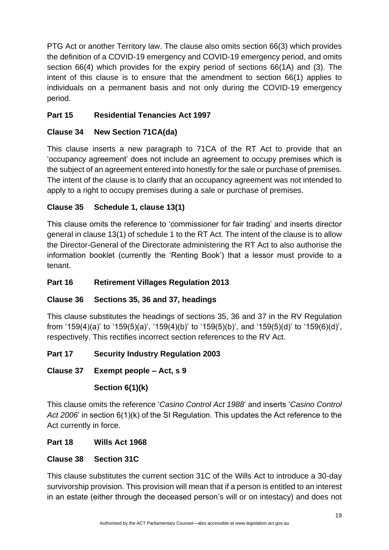PTG Act or another Territory law. The clause also omits section 66(3) which provides the definition of a COVID-19 emergency and COVID-19 emergency period, and omits section 66(4) which provides for the expiry period of sections 66(1A) and (3). The intent of this clause is to ensure that the amendment to section 66(1) applies to individuals on a permanent basis and not only during the COVID-19 emergency period.

# **Part 15 Residential Tenancies Act 1997**

# **Clause 34 New Section 71CA(da)**

This clause inserts a new paragraph to 71CA of the RT Act to provide that an 'occupancy agreement' does not include an agreement to occupy premises which is the subject of an agreement entered into honestly for the sale or purchase of premises. The intent of the clause is to clarify that an occupancy agreement was not intended to apply to a right to occupy premises during a sale or purchase of premises.

# **Clause 35 Schedule 1, clause 13(1)**

This clause omits the reference to 'commissioner for fair trading' and inserts director general in clause 13(1) of schedule 1 to the RT Act. The intent of the clause is to allow the Director-General of the Directorate administering the RT Act to also authorise the information booklet (currently the 'Renting Book') that a lessor must provide to a tenant.

# **Part 16 Retirement Villages Regulation 2013**

# **Clause 36 Sections 35, 36 and 37, headings**

This clause substitutes the headings of sections 35, 36 and 37 in the RV Regulation from '159(4)(a)' to '159(5)(a)', '159(4)(b)' to '159(5)(b)', and '159(5)(d)' to '159(6)(d)', respectively. This rectifies incorrect section references to the RV Act.

# **Part 17 Security Industry Regulation 2003**

# **Clause 37 Exempt people – Act, s 9**

### **Section 6(1)(k)**

This clause omits the reference '*Casino Control Act 1988*' and inserts '*Casino Control Act 2006*' in section 6(1)(k) of the SI Regulation. This updates the Act reference to the Act currently in force.

# **Part 18 Wills Act 1968**

# **Clause 38 Section 31C**

This clause substitutes the current section 31C of the Wills Act to introduce a 30-day survivorship provision. This provision will mean that if a person is entitled to an interest in an estate (either through the deceased person's will or on intestacy) and does not